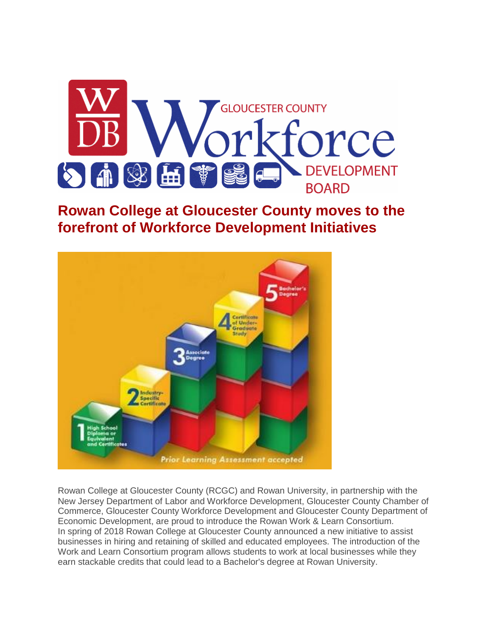

#### **Rowan College at Gloucester County moves to the forefront of Workforce Development Initiatives**



Rowan College at Gloucester County (RCGC) and Rowan University, in partnership with the New Jersey Department of Labor and Workforce Development, Gloucester County Chamber of Commerce, Gloucester County Workforce Development and Gloucester County Department of Economic Development, are proud to introduce the Rowan Work & Learn Consortium. In spring of 2018 Rowan College at Gloucester County announced a new initiative to assist businesses in hiring and retaining of skilled and educated employees. The introduction of the Work and Learn Consortium program allows students to work at local businesses while they earn stackable credits that could lead to a Bachelor's degree at Rowan University.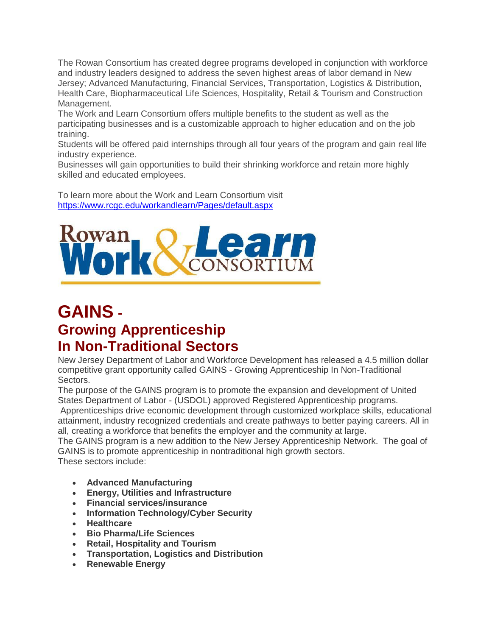The Rowan Consortium has created degree programs developed in conjunction with workforce and industry leaders designed to address the seven highest areas of labor demand in New Jersey; Advanced Manufacturing, Financial Services, Transportation, Logistics & Distribution, Health Care, Biopharmaceutical Life Sciences, Hospitality, Retail & Tourism and Construction Management.

The Work and Learn Consortium offers multiple benefits to the student as well as the participating businesses and is a customizable approach to higher education and on the job training.

Students will be offered paid internships through all four years of the program and gain real life industry experience.

Businesses will gain opportunities to build their shrinking workforce and retain more highly skilled and educated employees.

To learn more about the Work and Learn Consortium visit <https://www.rcgc.edu/workandlearn/Pages/default.aspx>



## **GAINS - Growing Apprenticeship In Non-Traditional Sectors**

New Jersey Department of Labor and Workforce Development has released a 4.5 million dollar competitive grant opportunity called GAINS - Growing Apprenticeship In Non-Traditional Sectors.

The purpose of the GAINS program is to promote the expansion and development of United States Department of Labor - (USDOL) approved Registered Apprenticeship programs.

Apprenticeships drive economic development through customized workplace skills, educational attainment, industry recognized credentials and create pathways to better paying careers. All in all, creating a workforce that benefits the employer and the community at large.

The GAINS program is a new addition to the New Jersey Apprenticeship Network. The goal of GAINS is to promote apprenticeship in nontraditional high growth sectors. These sectors include:

- **Advanced Manufacturing**
- **Energy, Utilities and Infrastructure**
- **Financial services/insurance**
- **Information Technology/Cyber Security**
- **Healthcare**
- **Bio Pharma/Life Sciences**
- **Retail, Hospitality and Tourism**
- **Transportation, Logistics and Distribution**
- **Renewable Energy**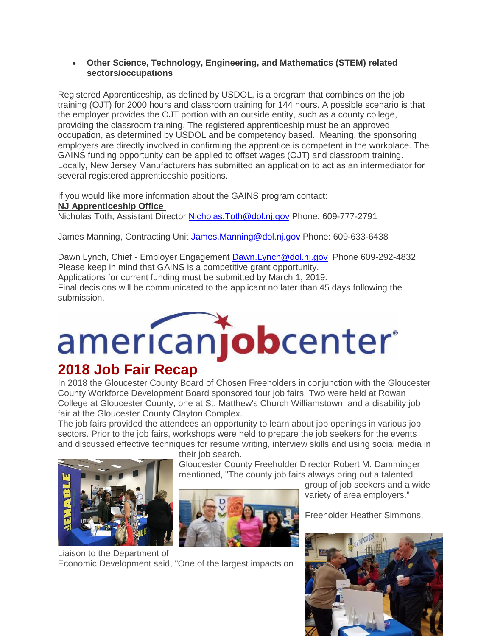#### **Other Science, Technology, Engineering, and Mathematics (STEM) related sectors/occupations**

Registered Apprenticeship, as defined by USDOL, is a program that combines on the job training (OJT) for 2000 hours and classroom training for 144 hours. A possible scenario is that the employer provides the OJT portion with an outside entity, such as a county college, providing the classroom training. The registered apprenticeship must be an approved occupation, as determined by USDOL and be competency based. Meaning, the sponsoring employers are directly involved in confirming the apprentice is competent in the workplace. The GAINS funding opportunity can be applied to offset wages (OJT) and classroom training. Locally, New Jersey Manufacturers has submitted an application to act as an intermediator for several registered apprenticeship positions.

If you would like more information about the GAINS program contact: **NJ Apprenticeship Office** Nicholas Toth, Assistant Director [Nicholas.Toth@dol.nj.gov](mailto:Nicholas.Toth@dol.nj.gov) Phone: 609-777-2791

James Manning, Contracting Unit [James.Manning@dol.nj.gov](mailto:James.Manning@dol.nj.gov) Phone: 609-633-6438

Dawn Lynch, Chief - Employer Engagement [Dawn.Lynch@dol.nj.gov](mailto:Dawn.Lynch@dol.nj.gov) Phone 609-292-4832 Please keep in mind that GAINS is a competitive grant opportunity. Applications for current funding must be submitted by March 1, 2019. Final decisions will be communicated to the applicant no later than 45 days following the submission.

## americanjobcenter®

### **2018 Job Fair Recap**

In 2018 the Gloucester County Board of Chosen Freeholders in conjunction with the Gloucester County Workforce Development Board sponsored four job fairs. Two were held at Rowan College at Gloucester County, one at St. Matthew's Church Williamstown, and a disability job fair at the Gloucester County Clayton Complex.

The job fairs provided the attendees an opportunity to learn about job openings in various job sectors. Prior to the job fairs, workshops were held to prepare the job seekers for the events and discussed effective techniques for resume writing, interview skills and using social media in



their job search.

Gloucester County Freeholder Director Robert M. Damminger mentioned. "The county job fairs always bring out a talented



Liaison to the Department of Economic Development said, "One of the largest impacts on group of job seekers and a wide variety of area employers."

Freeholder Heather Simmons,

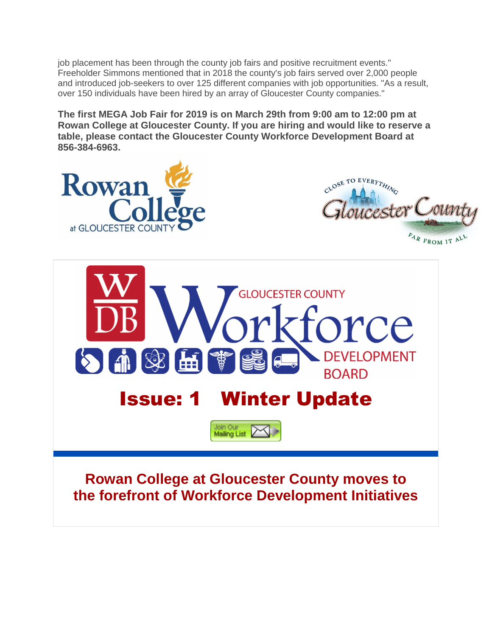job placement has been through the county job fairs and positive recruitment events." Freeholder Simmons mentioned that in 2018 the county's job fairs served over 2,000 people and introduced job-seekers to over 125 different companies with job opportunities. "As a result, over 150 individuals have been hired by an array of Gloucester County companies."

**The first MEGA Job Fair for 2019 is on March 29th from 9:00 am to 12:00 pm at Rowan College at Gloucester County. If you are hiring and would like to reserve a table, please contact the Gloucester County Workforce Development Board at 856-384-6963.**

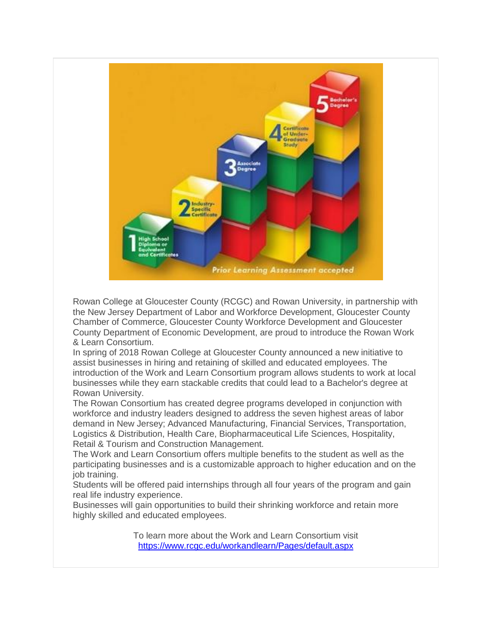

Rowan College at Gloucester County (RCGC) and Rowan University, in partnership with the New Jersey Department of Labor and Workforce Development, Gloucester County Chamber of Commerce, Gloucester County Workforce Development and Gloucester County Department of Economic Development, are proud to introduce the Rowan Work & Learn Consortium.

In spring of 2018 Rowan College at Gloucester County announced a new initiative to assist businesses in hiring and retaining of skilled and educated employees. The introduction of the Work and Learn Consortium program allows students to work at local businesses while they earn stackable credits that could lead to a Bachelor's degree at Rowan University.

The Rowan Consortium has created degree programs developed in conjunction with workforce and industry leaders designed to address the seven highest areas of labor demand in New Jersey; Advanced Manufacturing, Financial Services, Transportation, Logistics & Distribution, Health Care, Biopharmaceutical Life Sciences, Hospitality, Retail & Tourism and Construction Management.

The Work and Learn Consortium offers multiple benefits to the student as well as the participating businesses and is a customizable approach to higher education and on the job training.

Students will be offered paid internships through all four years of the program and gain real life industry experience.

Businesses will gain opportunities to build their shrinking workforce and retain more highly skilled and educated employees.

> To learn more about the Work and Learn Consortium visit <https://www.rcgc.edu/workandlearn/Pages/default.aspx>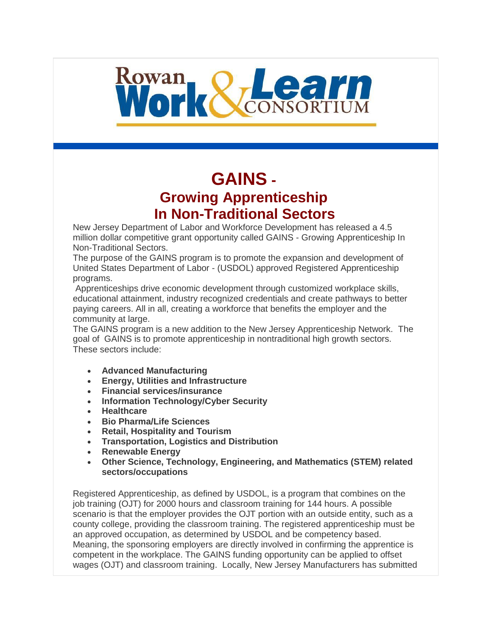# Rowan Redeem

## **GAINS - Growing Apprenticeship In Non-Traditional Sectors**

New Jersey Department of Labor and Workforce Development has released a 4.5 million dollar competitive grant opportunity called GAINS - Growing Apprenticeship In Non-Traditional Sectors.

The purpose of the GAINS program is to promote the expansion and development of United States Department of Labor - (USDOL) approved Registered Apprenticeship programs.

Apprenticeships drive economic development through customized workplace skills, educational attainment, industry recognized credentials and create pathways to better paying careers. All in all, creating a workforce that benefits the employer and the community at large.

The GAINS program is a new addition to the New Jersey Apprenticeship Network. The goal of GAINS is to promote apprenticeship in nontraditional high growth sectors. These sectors include:

- **Advanced Manufacturing**
- **Energy, Utilities and Infrastructure**
- **Financial services/insurance**
- **Information Technology/Cyber Security**
- **Healthcare**
- **Bio Pharma/Life Sciences**
- **Retail, Hospitality and Tourism**
- **Transportation, Logistics and Distribution**
- **Renewable Energy**
- **Other Science, Technology, Engineering, and Mathematics (STEM) related sectors/occupations**

Registered Apprenticeship, as defined by USDOL, is a program that combines on the job training (OJT) for 2000 hours and classroom training for 144 hours. A possible scenario is that the employer provides the OJT portion with an outside entity, such as a county college, providing the classroom training. The registered apprenticeship must be an approved occupation, as determined by USDOL and be competency based. Meaning, the sponsoring employers are directly involved in confirming the apprentice is competent in the workplace. The GAINS funding opportunity can be applied to offset wages (OJT) and classroom training. Locally, New Jersey Manufacturers has submitted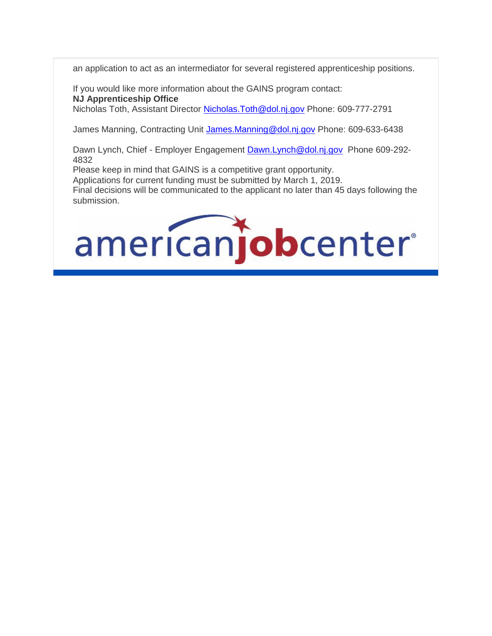an application to act as an intermediator for several registered apprenticeship positions.

If you would like more information about the GAINS program contact: **NJ Apprenticeship Office** Nicholas Toth, Assistant Director Nicholas. Toth@dol.nj.gov Phone: 609-777-2791

James Manning, Contracting Unit [James.Manning@dol.nj.gov](mailto:James.Manning@dol.nj.gov) Phone: 609-633-6438

Dawn Lynch, Chief - Employer Engagement [Dawn.Lynch@dol.nj.gov](mailto:Dawn.Lynch@dol.nj.gov) Phone 609-292-4832

Please keep in mind that GAINS is a competitive grant opportunity.

Applications for current funding must be submitted by March 1, 2019. Final decisions will be communicated to the applicant no later than 45 days following the submission.

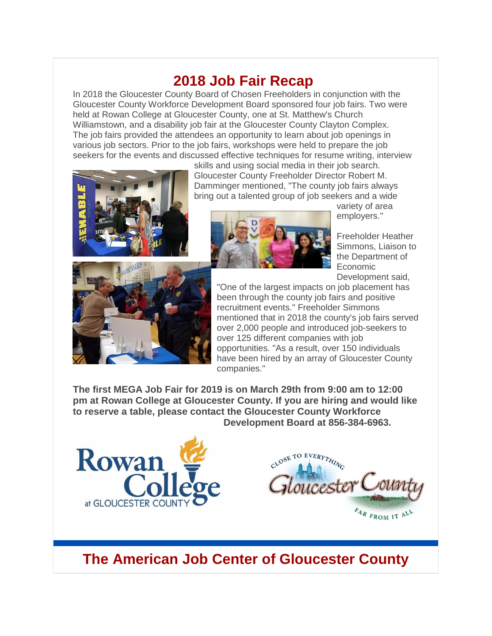#### **2018 Job Fair Recap**

In 2018 the Gloucester County Board of Chosen Freeholders in conjunction with the Gloucester County Workforce Development Board sponsored four job fairs. Two were held at Rowan College at Gloucester County, one at St. Matthew's Church Williamstown, and a disability job fair at the Gloucester County Clayton Complex. The job fairs provided the attendees an opportunity to learn about job openings in various job sectors. Prior to the job fairs, workshops were held to prepare the job seekers for the events and discussed effective techniques for resume writing, interview



skills and using social media in their job search. Gloucester County Freeholder Director Robert M. Damminger mentioned, "The county job fairs always bring out a talented group of job seekers and a wide



variety of area employers."

Freeholder Heather Simmons, Liaison to the Department of Economic Development said,



"One of the largest impacts on job placement has been through the county job fairs and positive recruitment events." Freeholder Simmons mentioned that in 2018 the county's job fairs served over 2,000 people and introduced job-seekers to over 125 different companies with job opportunities. "As a result, over 150 individuals have been hired by an array of Gloucester County companies."

**The first MEGA Job Fair for 2019 is on March 29th from 9:00 am to 12:00 pm at Rowan College at Gloucester County. If you are hiring and would like to reserve a table, please contact the Gloucester County Workforce Development Board at 856-384-6963.**





#### **The American Job Center of Gloucester County**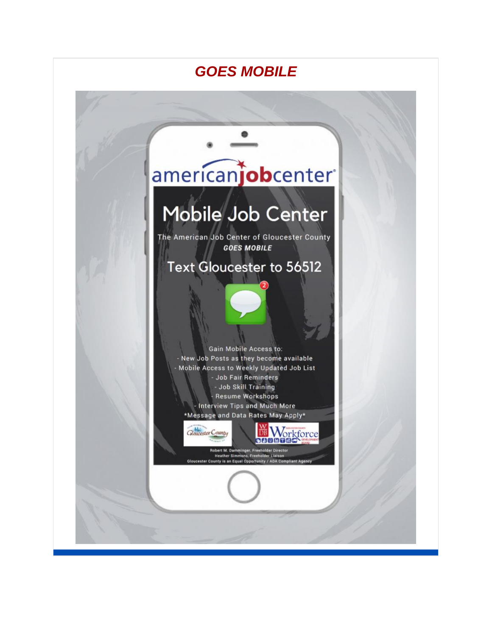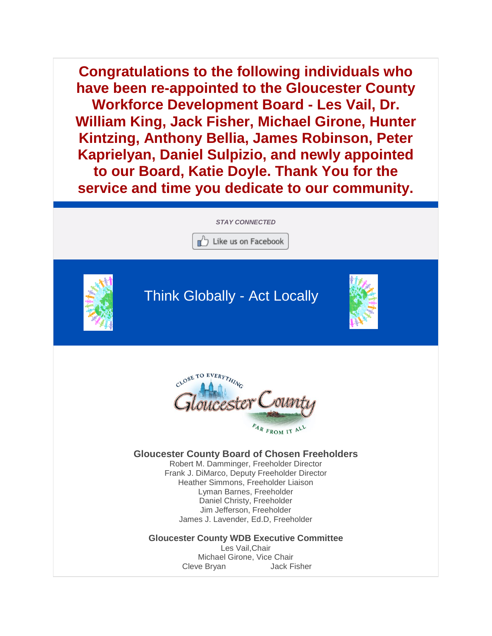**Congratulations to the following individuals who have been re-appointed to the Gloucester County Workforce Development Board - Les Vail, Dr. William King, Jack Fisher, Michael Girone, Hunter Kintzing, Anthony Bellia, James Robinson, Peter Kaprielyan, Daniel Sulpizio, and newly appointed to our Board, Katie Doyle. Thank You for the service and time you dedicate to our community.**

*STAY CONNECTED*

 $\overline{a}$ 

Like us on Facebook



Think Globally - Act Locally





#### **Gloucester County Board of Chosen Freeholders**

Robert M. Damminger, Freeholder Director Frank J. DiMarco, Deputy Freeholder Director Heather Simmons, Freeholder Liaison Lyman Barnes, Freeholder Daniel Christy, Freeholder Jim Jefferson, Freeholder James J. Lavender, Ed.D, Freeholder

**Gloucester County WDB Executive Committee** Les Vail,Chair

Michael Girone, Vice Chair Cleve Bryan Jack Fisher